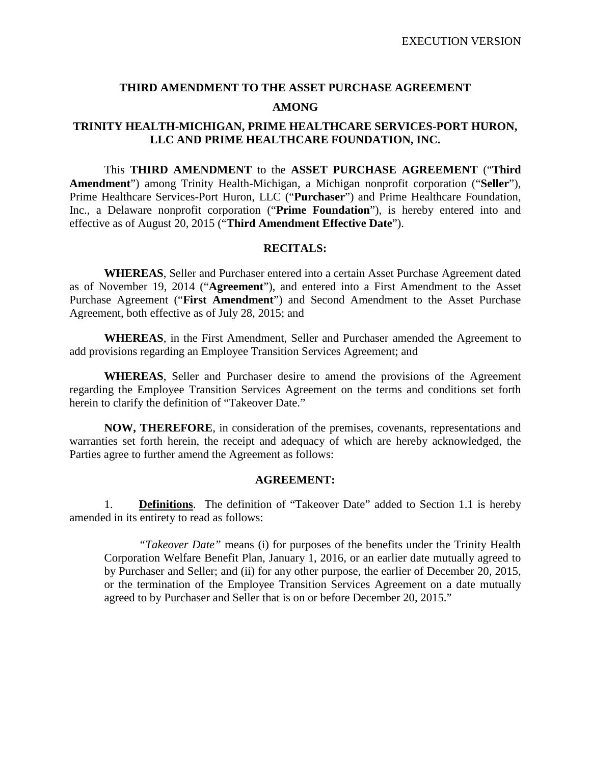# **THIRD AMENDMENT TO THE ASSET PURCHASE AGREEMENT AMONG**

# **TRINITY HEALTH-MICHIGAN, PRIME HEALTHCARE SERVICES-PORT HURON, LLC AND PRIME HEALTHCARE FOUNDATION, INC.**

This **THIRD AMENDMENT** to the **ASSET PURCHASE AGREEMENT** ("**Third Amendment**") among Trinity Health-Michigan, a Michigan nonprofit corporation ("**Seller**"), Prime Healthcare Services-Port Huron, LLC ("**Purchaser**") and Prime Healthcare Foundation, Inc., a Delaware nonprofit corporation ("**Prime Foundation**"), is hereby entered into and effective as of August 20, 2015 ("**Third Amendment Effective Date**").

### **RECITALS:**

**WHEREAS**, Seller and Purchaser entered into a certain Asset Purchase Agreement dated as of November 19, 2014 ("**Agreement**"), and entered into a First Amendment to the Asset Purchase Agreement ("**First Amendment**") and Second Amendment to the Asset Purchase Agreement, both effective as of July 28, 2015; and

**WHEREAS**, in the First Amendment, Seller and Purchaser amended the Agreement to add provisions regarding an Employee Transition Services Agreement; and

**WHEREAS**, Seller and Purchaser desire to amend the provisions of the Agreement regarding the Employee Transition Services Agreement on the terms and conditions set forth herein to clarify the definition of "Takeover Date."

**NOW, THEREFORE**, in consideration of the premises, covenants, representations and warranties set forth herein, the receipt and adequacy of which are hereby acknowledged, the Parties agree to further amend the Agreement as follows:

### **AGREEMENT:**

1. **Definitions**. The definition of "Takeover Date" added to Section 1.1 is hereby amended in its entirety to read as follows:

*"Takeover Date"* means (i) for purposes of the benefits under the Trinity Health Corporation Welfare Benefit Plan, January 1, 2016, or an earlier date mutually agreed to by Purchaser and Seller; and (ii) for any other purpose, the earlier of December 20, 2015, or the termination of the Employee Transition Services Agreement on a date mutually agreed to by Purchaser and Seller that is on or before December 20, 2015."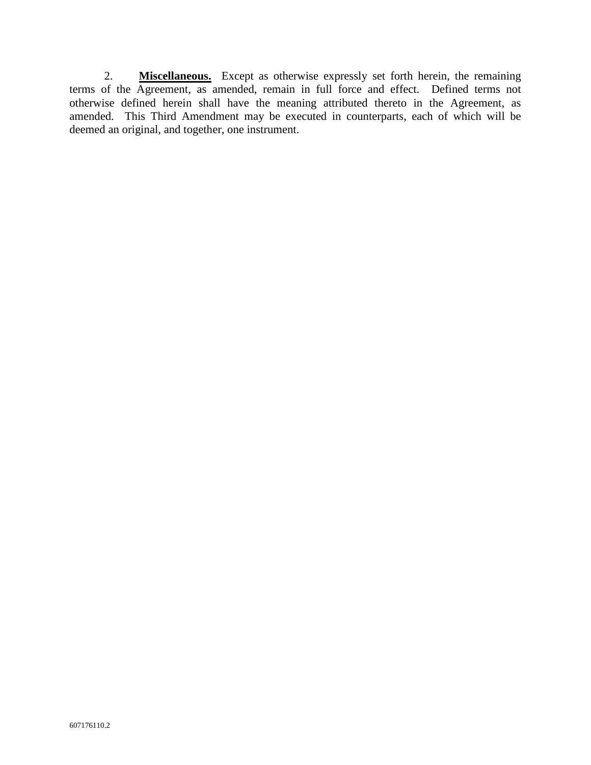2. **Miscellaneous.** Except as otherwise expressly set forth herein, the remaining terms of the Agreement, as amended, remain in full force and effect. Defined terms not otherwise defined herein shall have the meaning attributed thereto in the Agreement, as amended. This Third Amendment may be executed in counterparts, each of which will be deemed an original, and together, one instrument.